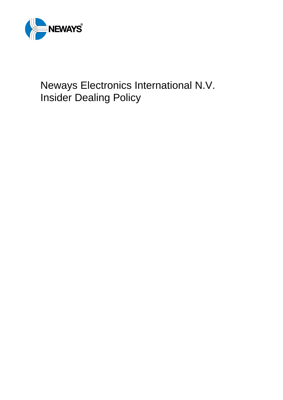

# Neways Electronics International N.V. Insider Dealing Policy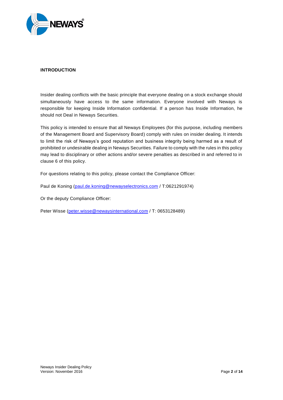

#### <span id="page-1-0"></span>**INTRODUCTION**

Insider dealing conflicts with the basic principle that everyone dealing on a stock exchange should simultaneously have access to the same information. Everyone involved with Neways is responsible for keeping Inside Information confidential. If a person has Inside Information, he should not Deal in Neways Securities.

This policy is intended to ensure that all Neways Employees (for this purpose, including members of the Management Board and Supervisory Board) comply with rules on insider dealing. It intends to limit the risk of Neways's good reputation and business integrity being harmed as a result of prohibited or undesirable dealing in Neways Securities. Failure to comply with the rules in this policy may lead to disciplinary or other actions and/or severe penalties as described in and referred to in clause [6](#page-9-0) of this policy.

For questions relating to this policy, please contact the Compliance Officer:

Paul de Koning [\(paul.de.koning@newayselectronics.com](mailto:paul.de.koning@newayselectronics.com) / T:0621291974)

Or the deputy Compliance Officer:

Peter Wisse [\(peter.wisse@newaysinternational.com](mailto:peter.wisse@newaysinternational.co) / T: 0653128489)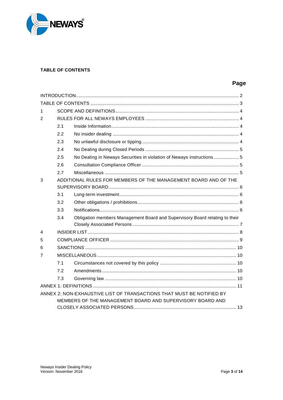

# <span id="page-2-0"></span>**TABLE OF CONTENTS**

# Page

| 1                                                                     |     |                                                                             |  |  |  |  |
|-----------------------------------------------------------------------|-----|-----------------------------------------------------------------------------|--|--|--|--|
| 2                                                                     |     |                                                                             |  |  |  |  |
|                                                                       | 2.1 |                                                                             |  |  |  |  |
|                                                                       | 2.2 |                                                                             |  |  |  |  |
|                                                                       | 2.3 |                                                                             |  |  |  |  |
|                                                                       | 2.4 |                                                                             |  |  |  |  |
|                                                                       | 2.5 | No Dealing in Neways Securities in violation of Neways instructions 5       |  |  |  |  |
|                                                                       | 2.6 |                                                                             |  |  |  |  |
|                                                                       | 2.7 |                                                                             |  |  |  |  |
| 3                                                                     |     | ADDITIONAL RULES FOR MEMBERS OF THE MANAGEMENT BOARD AND OF THE             |  |  |  |  |
|                                                                       |     |                                                                             |  |  |  |  |
|                                                                       | 3.1 |                                                                             |  |  |  |  |
|                                                                       | 3.2 |                                                                             |  |  |  |  |
|                                                                       | 3.3 |                                                                             |  |  |  |  |
|                                                                       | 3.4 | Obligation members Management Board and Supervisory Board relating to their |  |  |  |  |
|                                                                       |     |                                                                             |  |  |  |  |
| 4                                                                     |     |                                                                             |  |  |  |  |
| 5                                                                     |     |                                                                             |  |  |  |  |
| 6                                                                     |     |                                                                             |  |  |  |  |
| 7                                                                     |     |                                                                             |  |  |  |  |
|                                                                       | 7.1 |                                                                             |  |  |  |  |
|                                                                       | 7.2 |                                                                             |  |  |  |  |
|                                                                       | 7.3 |                                                                             |  |  |  |  |
|                                                                       |     |                                                                             |  |  |  |  |
| ANNEX 2: NON-EXHAUSTIVE LIST OF TRANSACTIONS THAT MUST BE NOTIFIED BY |     |                                                                             |  |  |  |  |
|                                                                       |     | MEMBERS OF THE MANAGEMENT BOARD AND SUPERVISORY BOARD AND                   |  |  |  |  |
|                                                                       |     |                                                                             |  |  |  |  |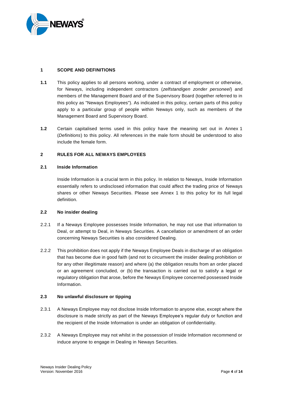

#### <span id="page-3-0"></span>**1 SCOPE AND DEFINITIONS**

- **1.1** This policy applies to all persons working, under a contract of employment or otherwise, for Neways, including independent contractors (*zelfstandigen zonder personeel*) and members of the Management Board and of the Supervisory Board (together referred to in this policy as "Neways Employees"). As indicated in this policy, certain parts of this policy apply to a particular group of people within Neways only, such as members of the Management Board and Supervisory Board.
- **1.2** Certain capitalised terms used in this policy have the meaning set out in Annex 1 (*Definitions*) to this policy. All references in the male form should be understood to also include the female form.

#### <span id="page-3-1"></span>**2 RULES FOR ALL NEWAYS EMPLOYEES**

#### <span id="page-3-2"></span>**2.1 Inside Information**

Inside Information is a crucial term in this policy. In relation to Neways, Inside Information essentially refers to undisclosed information that could affect the trading price of Neways shares or other Neways Securities. Please see Annex 1 to this policy for its full legal definition.

#### <span id="page-3-3"></span>**2.2 No insider dealing**

- 2.2.1 If a Neways Employee possesses Inside Information, he may not use that information to Deal, or attempt to Deal, in Neways Securities. A cancellation or amendment of an order concerning Neways Securities is also considered Dealing.
- 2.2.2 This prohibition does not apply if the Neways Employee Deals in discharge of an obligation that has become due in good faith (and not to circumvent the insider dealing prohibition or for any other illegitimate reason) and where (a) the obligation results from an order placed or an agreement concluded, or (b) the transaction is carried out to satisfy a legal or regulatory obligation that arose, before the Neways Employee concerned possessed Inside Information.

#### <span id="page-3-4"></span>**2.3 No unlawful disclosure or tipping**

- 2.3.1 A Neways Employee may not disclose Inside Information to anyone else, except where the disclosure is made strictly as part of the Neways Employee's regular duty or function and the recipient of the Inside Information is under an obligation of confidentiality.
- 2.3.2 A Neways Employee may not whilst in the possession of Inside Information recommend or induce anyone to engage in Dealing in Neways Securities.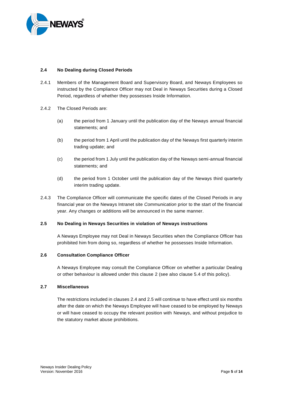

#### <span id="page-4-0"></span>**2.4 No Dealing during Closed Periods**

- 2.4.1 Members of the Management Board and Supervisory Board, and Neways Employees so instructed by the Compliance Officer may not Deal in Neways Securities during a Closed Period, regardless of whether they possesses Inside Information.
- <span id="page-4-4"></span>2.4.2 The Closed Periods are:
	- (a) the period from 1 January until the publication day of the Neways annual financial statements; and
	- (b) the period from 1 April until the publication day of the Neways first quarterly interim trading update; and
	- (c) the period from 1 July until the publication day of the Neways semi-annual financial statements; and
	- (d) the period from 1 October until the publication day of the Neways third quarterly interim trading update.
- 2.4.3 The Compliance Officer will communicate the specific dates of the Closed Periods in any financial year on the Neways Intranet site *Communication* prior to the start of the financial year. Any changes or additions will be announced in the same manner.

#### <span id="page-4-1"></span>**2.5 No Dealing in Neways Securities in violation of Neways instructions**

A Neways Employee may not Deal in Neways Securities when the Compliance Officer has prohibited him from doing so, regardless of whether he possesses Inside Information.

#### <span id="page-4-2"></span>**2.6 Consultation Compliance Officer**

A Neways Employee may consult the Compliance Officer on whether a particular Dealing or other behaviour is allowed under this clause [2](#page-3-1) (see also clause [5.4](#page-9-5) of this policy).

#### <span id="page-4-3"></span>**2.7 Miscellaneous**

The restrictions included in clauses [2.4](#page-4-0) and 2.5 will continue to have effect until six months after the date on which the Neways Employee will have ceased to be employed by Neways or will have ceased to occupy the relevant position with Neways, and without prejudice to the statutory market abuse prohibitions.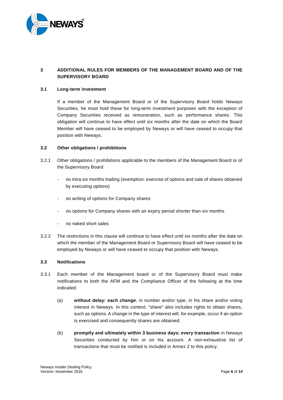

# <span id="page-5-0"></span>**3 ADDITIONAL RULES FOR MEMBERS OF THE MANAGEMENT BOARD AND OF THE SUPERVISORY BOARD**

#### <span id="page-5-1"></span>**3.1 Long-term investment**

If a member of the Management Board or of the Supervisory Board holds Neways Securities, he must hold these for long-term investment purposes with the exception of Company Securities received as remuneration, such as performance shares. This obligation will continue to have effect until six months after the date on which the Board Member will have ceased to be employed by Neways or will have ceased to occupy that position with Neways.

#### <span id="page-5-2"></span>**3.2 Other obligations / prohibitions**

- 3.2.1 Other obligations / prohibitions applicable to the members of the Management Board or of the Supervisory Board
	- no intra six months trading (exemption: exercise of options and sale of shares obtained by executing options)
	- no writing of options for Company shares
	- no options for Company shares with an expiry period shorter than six months
	- no naked short sales
- 3.2.2 The restrictions in this clause will continue to have effect until six months after the date on which the member of the Management Board or Supervisory Board will have ceased to be employed by Neways or will have ceased to occupy that position with Neways.

#### <span id="page-5-3"></span>**3.3 Notifications**

- <span id="page-5-5"></span><span id="page-5-4"></span>3.3.1 Each member of the Management board or of the Supervisory Board must make notifications to both the AFM and the Compliance Officer of the following at the time indicated:
	- (a) **without delay: each change**, in number and/or type, in his share and/or voting interest in Neways. In this context, "share" also includes rights to obtain shares, such as options. A change in the type of interest will, for example, occur if an option is exercised and consequently shares are obtained;
	- (b) **promptly and ultimately within 3 business days: every transaction** in Neways Securities conducted by him or on his account. A non-exhaustive list of transactions that must be notified is included in Annex 2 to this policy.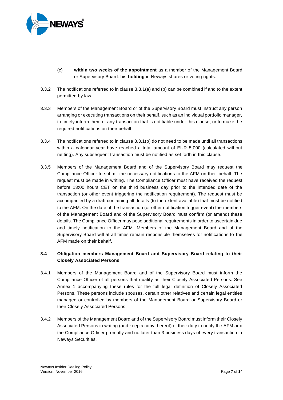

- (c) **within two weeks of the appointment** as a member of the Management Board or Supervisory Board: his **holding** in Neways shares or voting rights.
- 3.3.2 The notifications referred to in clause [3.3.1\(a\)](#page-5-4) and [\(b\)](#page-5-5) can be combined if and to the extent permitted by law.
- 3.3.3 Members of the Management Board or of the Supervisory Board must instruct any person arranging or executing transactions on their behalf, such as an individual portfolio manager, to timely inform them of any transaction that is notifiable under this clause, or to make the required notifications on their behalf.
- 3.3.4 The notifications referred to in clause [3.3.1\(b\)](#page-5-4) do not need to be made until all transactions within a calendar year have reached a total amount of EUR 5,000 (calculated without netting). Any subsequent transaction must be notified as set forth in this clause.
- <span id="page-6-1"></span>3.3.5 Members of the Management Board and of the Supervisory Board may request the Compliance Officer to submit the necessary notifications to the AFM on their behalf. The request must be made in writing. The Compliance Officer must have received the request before 13:00 hours CET on the third business day prior to the intended date of the transaction (or other event triggering the notification requirement). The request must be accompanied by a draft containing all details (to the extent available) that must be notified to the AFM. On the date of the transaction (or other notification trigger event) the members of the Management Board and of the Supervisory Board must confirm (or amend) these details. The Compliance Officer may pose additional requirements in order to ascertain due and timely notification to the AFM. Members of the Management Board and of the Supervisory Board will at all times remain responsible themselves for notifications to the AFM made on their behalf.

# <span id="page-6-0"></span>**3.4 Obligation members Management Board and Supervisory Board relating to their Closely Associated Persons**

- 3.4.1 Members of the Management Board and of the Supervisory Board must inform the Compliance Officer of all persons that qualify as their Closely Associated Persons. See Annex 1 accompanying these rules for the full legal definition of Closely Associated Persons. These persons include spouses, certain other relatives and certain legal entities managed or controlled by members of the Management Board or Supervisory Board or their Closely Associated Persons.
- 3.4.2 Members of the Management Board and of the Supervisory Board must inform their Closely Associated Persons in writing (and keep a copy thereof) of their duty to notify the AFM and the Compliance Officer promptly and no later than 3 business days of every transaction in Neways Securities.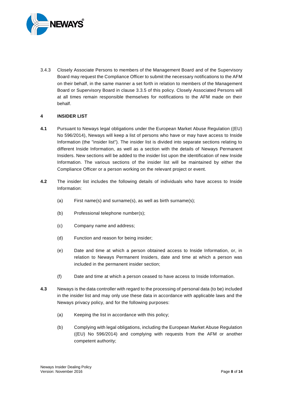

3.4.3 Closely Associate Persons to members of the Management Board and of the Supervisory Board may request the Compliance Officer to submit the necessary notifications to the AFM on their behalf, in the same manner a set forth in relation to members of the Management Board or Supervisory Board in clause [3.3.5](#page-6-1) of this policy. Closely Associated Persons will at all times remain responsible themselves for notifications to the AFM made on their behalf.

#### <span id="page-7-0"></span>**4 INSIDER LIST**

- **4.1** Pursuant to Neways legal obligations under the European Market Abuse Regulation ((EU) No 596/2014), Neways will keep a list of persons who have or may have access to Inside Information (the "insider list"). The insider list is divided into separate sections relating to different Inside Information, as well as a section with the details of Neways Permanent Insiders. New sections will be added to the insider list upon the identification of new Inside Information. The various sections of the insider list will be maintained by either the Compliance Officer or a person working on the relevant project or event.
- **4.2** The insider list includes the following details of individuals who have access to Inside Information:
	- (a) First name(s) and surname(s), as well as birth surname(s);
	- (b) Professional telephone number(s);
	- (c) Company name and address;
	- (d) Function and reason for being insider;
	- (e) Date and time at which a person obtained access to Inside Information, or, in relation to Neways Permanent Insiders, date and time at which a person was included in the permanent insider section;
	- (f) Date and time at which a person ceased to have access to Inside Information.
- **4.3** Neways is the data controller with regard to the processing of personal data (to be) included in the insider list and may only use these data in accordance with applicable laws and the Neways privacy policy, and for the following purposes:
	- (a) Keeping the list in accordance with this policy;
	- (b) Complying with legal obligations, including the European Market Abuse Regulation ((EU) No 596/2014) and complying with requests from the AFM or another competent authority;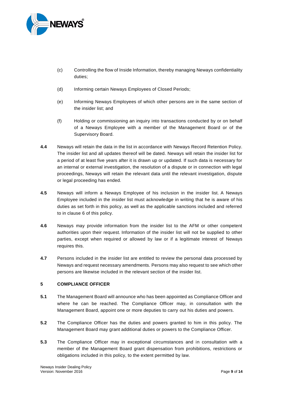

- (c) Controlling the flow of Inside Information, thereby managing Neways confidentiality duties;
- (d) Informing certain Neways Employees of Closed Periods;
- (e) Informing Neways Employees of which other persons are in the same section of the insider list; and
- (f) Holding or commissioning an inquiry into transactions conducted by or on behalf of a Neways Employee with a member of the Management Board or of the Supervisory Board.
- **4.4** Neways will retain the data in the list in accordance with Neways Record Retention Policy. The insider list and all updates thereof will be dated. Neways will retain the insider list for a period of at least five years after it is drawn up or updated. If such data is necessary for an internal or external investigation, the resolution of a dispute or in connection with legal proceedings, Neways will retain the relevant data until the relevant investigation, dispute or legal proceeding has ended.
- **4.5** Neways will inform a Neways Employee of his inclusion in the insider list. A Neways Employee included in the insider list must acknowledge in writing that he is aware of his duties as set forth in this policy, as well as the applicable sanctions included and referred to in clause [6](#page-9-0) of this policy.
- **4.6** Neways may provide information from the insider list to the AFM or other competent authorities upon their request. Information of the insider list will not be supplied to other parties, except when required or allowed by law or if a legitimate interest of Neways requires this.
- **4.7** Persons included in the insider list are entitled to review the personal data processed by Neways and request necessary amendments. Persons may also request to see which other persons are likewise included in the relevant section of the insider list.

#### <span id="page-8-0"></span>**5 COMPLIANCE OFFICER**

- **5.1** The Management Board will announce who has been appointed as Compliance Officer and where he can be reached. The Compliance Officer may, in consultation with the Management Board, appoint one or more deputies to carry out his duties and powers.
- **5.2** The Compliance Officer has the duties and powers granted to him in this policy. The Management Board may grant additional duties or powers to the Compliance Officer.
- **5.3** The Compliance Officer may in exceptional circumstances and in consultation with a member of the Management Board grant dispensation from prohibitions, restrictions or obligations included in this policy, to the extent permitted by law.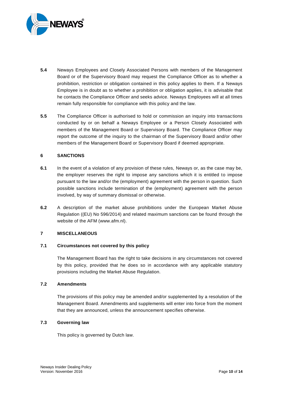

- <span id="page-9-5"></span>**5.4** Neways Employees and Closely Associated Persons with members of the Management Board or of the Supervisory Board may request the Compliance Officer as to whether a prohibition, restriction or obligation contained in this policy applies to them. If a Neways Employee is in doubt as to whether a prohibition or obligation applies, it is advisable that he contacts the Compliance Officer and seeks advice. Neways Employees will at all times remain fully responsible for compliance with this policy and the law.
- **5.5** The Compliance Officer is authorised to hold or commission an inquiry into transactions conducted by or on behalf a Neways Employee or a Person Closely Associated with members of the Management Board or Supervisory Board. The Compliance Officer may report the outcome of the inquiry to the chairman of the Supervisory Board and/or other members of the Management Board or Supervisory Board if deemed appropriate.

#### <span id="page-9-0"></span>**6 SANCTIONS**

- **6.1** In the event of a violation of any provision of these rules, Neways or, as the case may be, the employer reserves the right to impose any sanctions which it is entitled to impose pursuant to the law and/or the (employment) agreement with the person in question. Such possible sanctions include termination of the (employment) agreement with the person involved, by way of summary dismissal or otherwise.
- **6.2** A description of the market abuse prohibitions under the European Market Abuse Regulation ((EU) No 596/2014) and related maximum sanctions can be found through the website of the AFM (www.afm.nl).

#### <span id="page-9-1"></span>**7 MISCELLANEOUS**

#### <span id="page-9-2"></span>**7.1 Circumstances not covered by this policy**

The Management Board has the right to take decisions in any circumstances not covered by this policy, provided that he does so in accordance with any applicable statutory provisions including the Market Abuse Regulation.

#### <span id="page-9-3"></span>**7.2 Amendments**

The provisions of this policy may be amended and/or supplemented by a resolution of the Management Board. Amendments and supplements will enter into force from the moment that they are announced, unless the announcement specifies otherwise.

#### <span id="page-9-4"></span>**7.3 Governing law**

This policy is governed by Dutch law.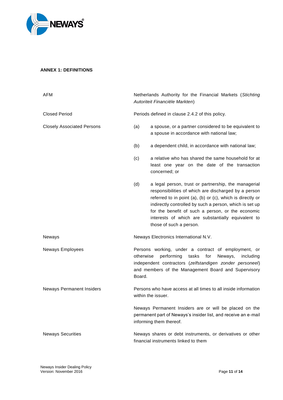

# <span id="page-10-0"></span>**ANNEX 1: DEFINITIONS**

| AFM                               | Netherlands Authority for the Financial Markets (Stichting<br>Autoriteit Financiële Markten)       |                                                                                                                                                                                                                                                                                                                                                                             |  |
|-----------------------------------|----------------------------------------------------------------------------------------------------|-----------------------------------------------------------------------------------------------------------------------------------------------------------------------------------------------------------------------------------------------------------------------------------------------------------------------------------------------------------------------------|--|
| <b>Closed Period</b>              |                                                                                                    | Periods defined in clause 2.4.2 of this policy.                                                                                                                                                                                                                                                                                                                             |  |
| <b>Closely Associated Persons</b> | (a)                                                                                                | a spouse, or a partner considered to be equivalent to<br>a spouse in accordance with national law;                                                                                                                                                                                                                                                                          |  |
|                                   | (b)                                                                                                | a dependent child, in accordance with national law;                                                                                                                                                                                                                                                                                                                         |  |
|                                   | (c)                                                                                                | a relative who has shared the same household for at<br>least one year on the date of the transaction<br>concerned; or                                                                                                                                                                                                                                                       |  |
|                                   | (d)                                                                                                | a legal person, trust or partnership, the managerial<br>responsibilities of which are discharged by a person<br>referred to in point (a), (b) or (c), which is directly or<br>indirectly controlled by such a person, which is set up<br>for the benefit of such a person, or the economic<br>interests of which are substantially equivalent to<br>those of such a person. |  |
| Neways                            |                                                                                                    | Neways Electronics International N.V.                                                                                                                                                                                                                                                                                                                                       |  |
| Neways Employees                  | otherwise<br>Board.                                                                                | Persons working, under a contract of employment, or<br>performing<br>tasks<br>for<br>Neways,<br>including<br>independent contractors (zelfstandigen zonder personeel)<br>and members of the Management Board and Supervisory                                                                                                                                                |  |
| <b>Neways Permanent Insiders</b>  | Persons who have access at all times to all inside information<br>within the issuer.               |                                                                                                                                                                                                                                                                                                                                                                             |  |
|                                   |                                                                                                    | Neways Permanent Insiders are or will be placed on the<br>permanent part of Neways's insider list, and receive an e-mail<br>informing them thereof.                                                                                                                                                                                                                         |  |
| <b>Neways Securities</b>          | Neways shares or debt instruments, or derivatives or other<br>financial instruments linked to them |                                                                                                                                                                                                                                                                                                                                                                             |  |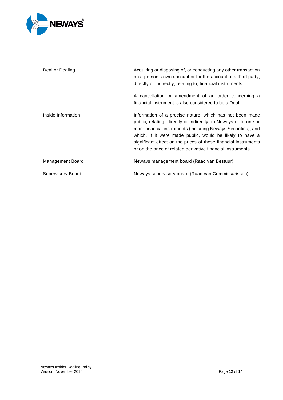

| Deal or Dealing          | Acquiring or disposing of, or conducting any other transaction<br>on a person's own account or for the account of a third party,<br>directly or indirectly, relating to, financial instruments                                                                                                                                                                                               |
|--------------------------|----------------------------------------------------------------------------------------------------------------------------------------------------------------------------------------------------------------------------------------------------------------------------------------------------------------------------------------------------------------------------------------------|
|                          | A cancellation or amendment of an order concerning a<br>financial instrument is also considered to be a Deal.                                                                                                                                                                                                                                                                                |
| Inside Information       | Information of a precise nature, which has not been made<br>public, relating, directly or indirectly, to Neways or to one or<br>more financial instruments (including Neways Securities), and<br>which, if it were made public, would be likely to have a<br>significant effect on the prices of those financial instruments<br>or on the price of related derivative financial instruments. |
| Management Board         | Neways management board (Raad van Bestuur).                                                                                                                                                                                                                                                                                                                                                  |
| <b>Supervisory Board</b> | Neways supervisory board (Raad van Commissarissen)                                                                                                                                                                                                                                                                                                                                           |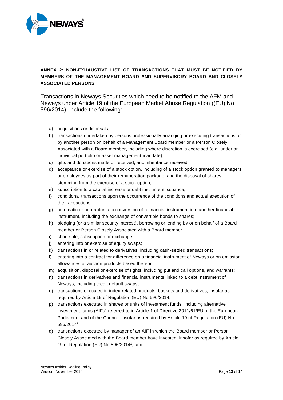

# <span id="page-12-0"></span>**ANNEX 2: NON-EXHAUSTIVE LIST OF TRANSACTIONS THAT MUST BE NOTIFIED BY MEMBERS OF THE MANAGEMENT BOARD AND SUPERVISORY BOARD AND CLOSELY ASSOCIATED PERSONS**

Transactions in Neways Securities which need to be notified to the AFM and Neways under Article 19 of the European Market Abuse Regulation ((EU) No 596/2014), include the following:

- a) acquisitions or disposals;
- b) transactions undertaken by persons professionally arranging or executing transactions or by another person on behalf of a Management Board member or a Person Closely Associated with a Board member, including where discretion is exercised (e.g. under an individual portfolio or asset management mandate);
- c) gifts and donations made or received, and inheritance received;
- d) acceptance or exercise of a stock option, including of a stock option granted to managers or employees as part of their remuneration package, and the disposal of shares stemming from the exercise of a stock option;
- e) subscription to a capital increase or debt instrument issuance;
- f) conditional transactions upon the occurrence of the conditions and actual execution of the transactions;
- g) automatic or non-automatic conversion of a financial instrument into another financial instrument, including the exchange of convertible bonds to shares;
- h) pledging (or a similar security interest), borrowing or lending by or on behalf of a Board member or Person Closely Associated with a Board member;
- i) short sale, subscription or exchange;
- j) entering into or exercise of equity swaps;
- k) transactions in or related to derivatives, including cash-settled transactions;
- l) entering into a contract for difference on a financial instrument of Neways or on emission allowances or auction products based thereon;
- m) acquisition, disposal or exercise of rights, including put and call options, and warrants;
- n) transactions in derivatives and financial instruments linked to a debt instrument of Neways, including credit default swaps;
- o) transactions executed in index-related products, baskets and derivatives, insofar as required by Article 19 of Regulation (EU) No 596/2014;
- p) transactions executed in shares or units of investment funds, including alternative investment funds (AIFs) referred to in Article 1 of Directive 2011/61/EU of the European Parliament and of the Council, insofar as required by Article 19 of Regulation (EU) No 596/2014<sup>2</sup> ;
- q) transactions executed by manager of an AIF in which the Board member or Person Closely Associated with the Board member have invested, insofar as required by Article 19 of Regulation (EU) No 596/2014<sup>2</sup> ; and